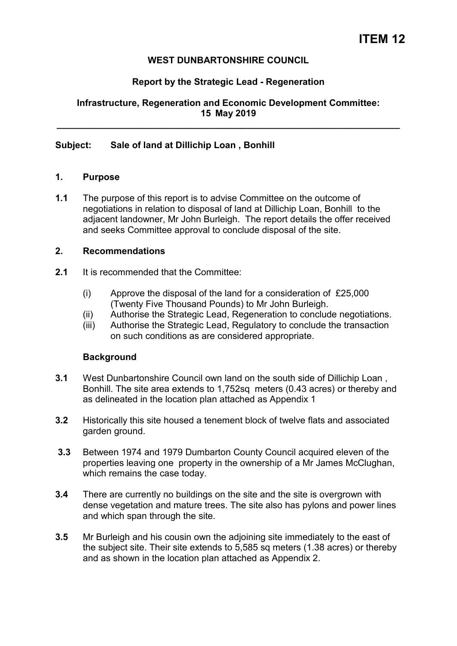# **WEST DUNBARTONSHIRE COUNCIL**

### **Report by the Strategic Lead - Regeneration**

**Infrastructure, Regeneration and Economic Development Committee: 15 May 2019** 

**\_\_\_\_\_\_\_\_\_\_\_\_\_\_\_\_\_\_\_\_\_\_\_\_\_\_\_\_\_\_\_\_\_\_\_\_\_\_\_\_\_\_\_\_\_\_\_\_\_\_\_\_\_\_\_\_\_\_\_\_\_\_\_\_\_\_\_** 

#### **Subject: Sale of land at Dillichip Loan , Bonhill**

#### **1. Purpose**

**1.1** The purpose of this report is to advise Committee on the outcome of negotiations in relation to disposal of land at Dillichip Loan, Bonhill to the adjacent landowner, Mr John Burleigh. The report details the offer received and seeks Committee approval to conclude disposal of the site.

#### **2. Recommendations**

- **2.1** It is recommended that the Committee:
	- (i) Approve the disposal of the land for a consideration of £25,000 (Twenty Five Thousand Pounds) to Mr John Burleigh.
	- (ii) Authorise the Strategic Lead, Regeneration to conclude negotiations.
	- (iii) Authorise the Strategic Lead, Regulatory to conclude the transaction on such conditions as are considered appropriate.

#### **Background**

- **3.1** West Dunbartonshire Council own land on the south side of Dillichip Loan , Bonhill. The site area extends to 1,752sq meters (0.43 acres) or thereby and as delineated in the location plan attached as Appendix 1
- **3.2** Historically this site housed a tenement block of twelve flats and associated garden ground.
- **3.3** Between 1974 and 1979 Dumbarton County Council acquired eleven of the properties leaving one property in the ownership of a Mr James McClughan, which remains the case today.
- **3.4** There are currently no buildings on the site and the site is overgrown with dense vegetation and mature trees. The site also has pylons and power lines and which span through the site.
- **3.5** Mr Burleigh and his cousin own the adjoining site immediately to the east of the subject site. Their site extends to 5,585 sq meters (1.38 acres) or thereby and as shown in the location plan attached as Appendix 2.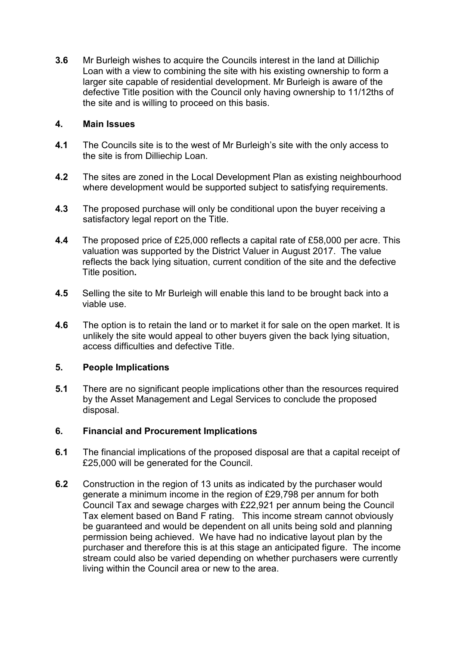**3.6** Mr Burleigh wishes to acquire the Councils interest in the land at Dillichip Loan with a view to combining the site with his existing ownership to form a larger site capable of residential development. Mr Burleigh is aware of the defective Title position with the Council only having ownership to 11/12ths of the site and is willing to proceed on this basis.

# **4. Main Issues**

- **4.1** The Councils site is to the west of Mr Burleigh's site with the only access to the site is from Dilliechip Loan.
- **4.2** The sites are zoned in the Local Development Plan as existing neighbourhood where development would be supported subject to satisfying requirements.
- **4.3** The proposed purchase will only be conditional upon the buyer receiving a satisfactory legal report on the Title.
- **4.4** The proposed price of £25,000 reflects a capital rate of £58,000 per acre. This valuation was supported by the District Valuer in August 2017. The value reflects the back lying situation, current condition of the site and the defective Title position**.**
- **4.5** Selling the site to Mr Burleigh will enable this land to be brought back into a viable use.
- **4.6** The option is to retain the land or to market it for sale on the open market. It is unlikely the site would appeal to other buyers given the back lying situation, access difficulties and defective Title.

### **5. People Implications**

**5.1** There are no significant people implications other than the resources required by the Asset Management and Legal Services to conclude the proposed disposal.

### **6. Financial and Procurement Implications**

- **6.1** The financial implications of the proposed disposal are that a capital receipt of £25,000 will be generated for the Council.
- **6.2** Construction in the region of 13 units as indicated by the purchaser would generate a minimum income in the region of £29,798 per annum for both Council Tax and sewage charges with £22,921 per annum being the Council Tax element based on Band F rating. This income stream cannot obviously be guaranteed and would be dependent on all units being sold and planning permission being achieved. We have had no indicative layout plan by the purchaser and therefore this is at this stage an anticipated figure. The income stream could also be varied depending on whether purchasers were currently living within the Council area or new to the area.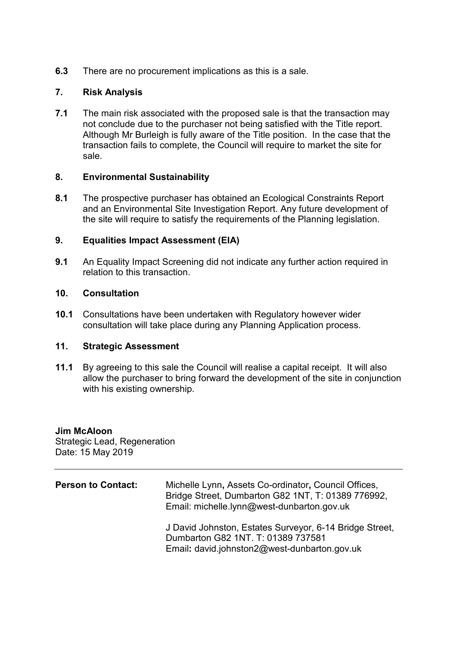**6.3** There are no procurement implications as this is a sale.

# **7. Risk Analysis**

**7.1** The main risk associated with the proposed sale is that the transaction may not conclude due to the purchaser not being satisfied with the Title report. Although Mr Burleigh is fully aware of the Title position. In the case that the transaction fails to complete, the Council will require to market the site for sale.

### **8. Environmental Sustainability**

**8.1** The prospective purchaser has obtained an Ecological Constraints Report and an Environmental Site Investigation Report. Any future development of the site will require to satisfy the requirements of the Planning legislation.

### **9. Equalities Impact Assessment (EIA)**

**9.1** An Equality Impact Screening did not indicate any further action required in relation to this transaction.

### **10. Consultation**

**10.1** Consultations have been undertaken with Regulatory however wider consultation will take place during any Planning Application process.

### **11. Strategic Assessment**

**11.1** By agreeing to this sale the Council will realise a capital receipt. It will also allow the purchaser to bring forward the development of the site in conjunction with his existing ownership.

### **Jim McAloon**

Strategic Lead, Regeneration Date: 15 May 2019

| <b>Person to Contact:</b> | Michelle Lynn, Assets Co-ordinator, Council Offices,<br>Bridge Street, Dumbarton G82 1NT, T: 01389 776992,<br>Email: michelle.lynn@west-dunbarton.gov.uk |
|---------------------------|----------------------------------------------------------------------------------------------------------------------------------------------------------|
|                           | J David Johnston, Estates Surveyor, 6-14 Bridge Street,<br>Dumbarton G82 1NT. T: 01389 737581<br>Email: david.johnston2@west-dunbarton.gov.uk            |